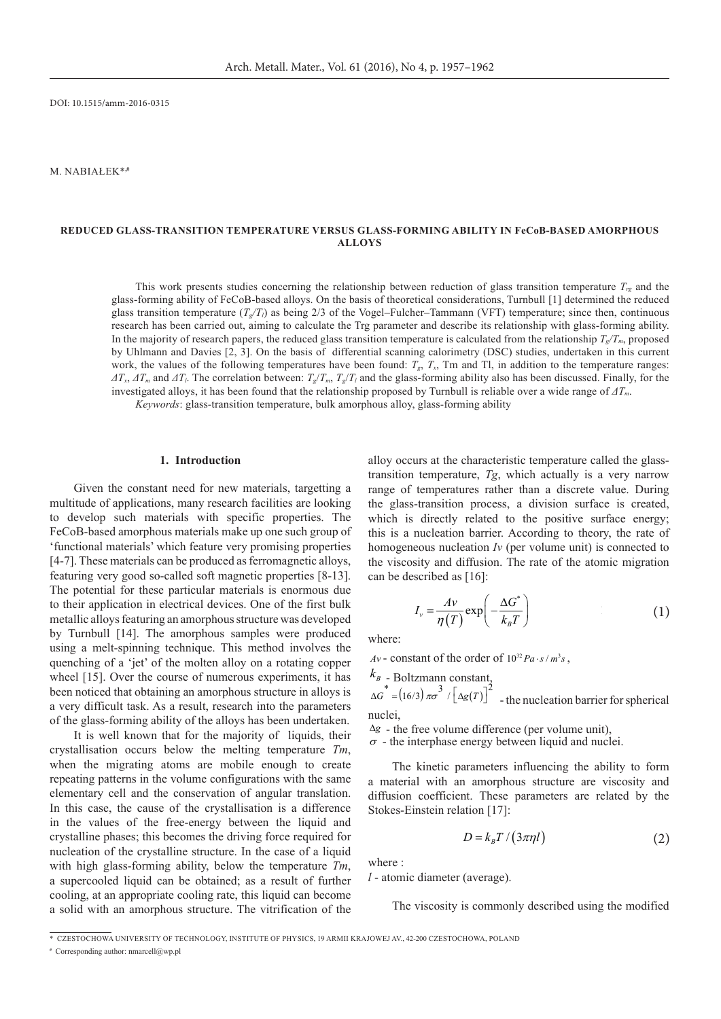DOI: 10.1515/amm-2016-0315

M. Nabiałek\***,#** 

# **Reduced glass-transition temperature versus glass-forming ability in FeCoB-based amorphous alloys**

This work presents studies concerning the relationship between reduction of glass transition temperature  $T_{rg}$  and the glass-forming ability of FeCoB-based alloys. On the basis of theoretical considerations, Turnbull [1] determined the reduced glass transition temperature  $(T_{\nu}/T_l)$  as being 2/3 of the Vogel–Fulcher–Tammann (VFT) temperature; since then, continuous research has been carried out, aiming to calculate the Trg parameter and describe its relationship with glass-forming ability. In the majority of research papers, the reduced glass transition temperature is calculated from the relationship  $T_c/T_m$ , proposed by Uhlmann and Davies [2, 3]. On the basis of differential scanning calorimetry (DSC) studies, undertaken in this current work, the values of the following temperatures have been found:  $T_g$ ,  $T_x$ , Tm and Tl, in addition to the temperature ranges:  $\Delta T_x$ ,  $\Delta T_m$  and  $\Delta T_l$ . The correlation between:  $T_g/T_m$ ,  $T_g/T_l$  and the glass-forming ability also has been discussed. Finally, for the investigated alloys, it has been found that the relationship proposed by Turnbull is reliable over a wide range of *ΔTm*. *Keywords*: glass-transition temperature, bulk amorphous alloy, glass-forming ability

#### **1. Introduction**

Given the constant need for new materials, targetting a multitude of applications, many research facilities are looking to develop such materials with specific properties. The FeCoB-based amorphous materials make up one such group of 'functional materials' which feature very promising properties [4-7]. These materials can be produced as ferromagnetic alloys, featuring very good so-called soft magnetic properties [8-13]. The potential for these particular materials is enormous due to their application in electrical devices. One of the first bulk metallic alloys featuring an amorphous structure was developed by Turnbull [14]. The amorphous samples were produced using a melt-spinning technique. This method involves the quenching of a 'jet' of the molten alloy on a rotating copper wheel [15]. Over the course of numerous experiments, it has been noticed that obtaining an amorphous structure in alloys is a very difficult task. As a result, research into the parameters of the glass-forming ability of the alloys has been undertaken.

It is well known that for the majority of liquids, their crystallisation occurs below the melting temperature *Tm*, when the migrating atoms are mobile enough to create repeating patterns in the volume configurations with the same elementary cell and the conservation of angular translation. In this case, the cause of the crystallisation is a difference in the values of the free-energy between the liquid and crystalline phases; this becomes the driving force required for nucleation of the crystalline structure. In the case of a liquid with high glass-forming ability, below the temperature *Tm*, a supercooled liquid can be obtained; as a result of further cooling, at an appropriate cooling rate, this liquid can become a solid with an amorphous structure. The vitrification of the alloy occurs at the characteristic temperature called the glasstransition temperature, *Tg*, which actually is a very narrow range of temperatures rather than a discrete value. During the glass-transition process, a division surface is created, which is directly related to the positive surface energy; this is a nucleation barrier. According to theory, the rate of homogeneous nucleation *Iv* (per volume unit) is connected to the viscosity and diffusion. The rate of the atomic migration can be described as [16]:

$$
I_v = \frac{Av}{\eta(T)} \exp\left(-\frac{\Delta G^*}{k_B T}\right) \tag{1}
$$

where:

 $Av$  - constant of the order of  $10^{32} Pa \cdot s / m^3 s$ ,

$$
k_B
$$
 - Boltzmann constant,

 $\Delta G^* = (16/3) \pi \sigma^3 / [\Delta g(T)]^2$  - the nucleation barrier for spherical nuclei,

∆*g* - the free volume difference (per volume unit),  $\sigma$  - the interphase energy between liquid and nuclei.

The kinetic parameters influencing the ability to form a material with an amorphous structure are viscosity and diffusion coefficient. These parameters are related by the Stokes-Einstein relation [17]:

$$
D = k_B T / (3\pi \eta l) \tag{2}
$$

where :

*l* - atomic diameter (average).

The viscosity is commonly described using the modified

<sup>\*</sup>Czestochowa University of Technology, Institute of Physics, 19 Armii Krajowej Av., 42-200 Czestochowa, Poland

**<sup>#</sup>** Corresponding author: nmarcell@wp.pl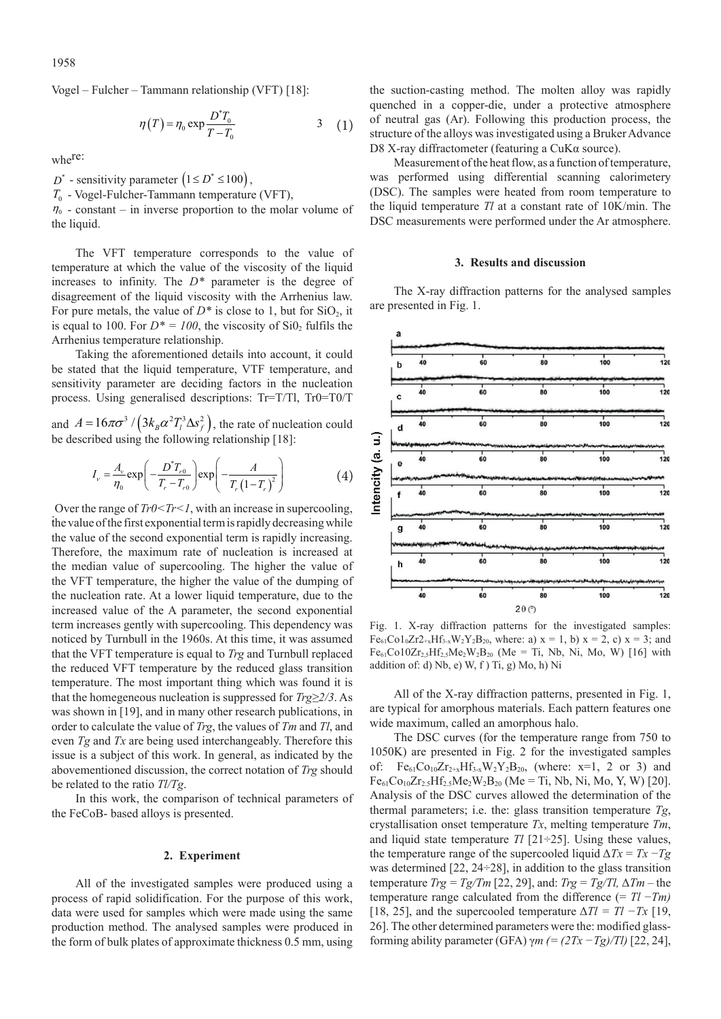Vogel – Fulcher – Tammann relationship (VFT) [18]:

$$
\eta(T) = \eta_0 \exp \frac{D^* T_0}{T - T_0} \tag{1}
$$

where:

 $D^*$  - sensitivity parameter  $(1 \le D^* \le 100)$ ,

*T*0 - Vogel-Fulcher-Tammann temperature (VFT),

 $\eta_0$  - constant – in inverse proportion to the molar volume of the liquid.

The VFT temperature corresponds to the value of temperature at which the value of the viscosity of the liquid increases to infinity. The *D\** parameter is the degree of disagreement of the liquid viscosity with the Arrhenius law. For pure metals, the value of  $D^*$  is close to 1, but for  $SiO_2$ , it is equal to 100. For  $D^* = 100$ , the viscosity of Si0<sub>2</sub> fulfils the Arrhenius temperature relationship.

Taking the aforementioned details into account, it could be stated that the liquid temperature, VTF temperature, and sensitivity parameter are deciding factors in the nucleation process. Using generalised descriptions: Tr=T/Tl, Tr0=T0/T

and  $A = 16\pi\sigma^3 / (3k_B\alpha^2T_i^3\Delta s_f^2)$ , the rate of nucleation could be described using the following relationship [18]:

$$
I_{\nu} = \frac{A_{\nu}}{\eta_0} \exp\left(-\frac{D^* T_{r0}}{T_r - T_{r0}}\right) \exp\left(-\frac{A}{T_r (1 - T_r)^2}\right) \tag{4}
$$

: the value of the first exponential term is rapidly decreasing while Over the range of  $Tr0 < Tr < 1$ , with an increase in supercooling, the value of the second exponential term is rapidly increasing. Therefore, the maximum rate of nucleation is increased at the median value of supercooling. The higher the value of the VFT temperature, the higher the value of the dumping of the nucleation rate. At a lower liquid temperature, due to the increased value of the A parameter, the second exponential term increases gently with supercooling. This dependency was noticed by Turnbull in the 1960s. At this time, it was assumed that the VFT temperature is equal to *Trg* and Turnbull replaced the reduced VFT temperature by the reduced glass transition temperature. The most important thing which was found it is that the homegeneous nucleation is suppressed for *Trg≥2/3*. As was shown in [19], and in many other research publications, in order to calculate the value of *Trg*, the values of *Tm* and *Tl*, and even *Tg* and *Tx* are being used interchangeably. Therefore this issue is a subject of this work. In general, as indicated by the abovementioned discussion, the correct notation of *Trg* should be related to the ratio *Tl/Tg*.

In this work, the comparison of technical parameters of the FeCoB- based alloys is presented.

## **2. Experiment**

All of the investigated samples were produced using a process of rapid solidification. For the purpose of this work, data were used for samples which were made using the same production method. The analysed samples were produced in the form of bulk plates of approximate thickness 0.5 mm, using the suction-casting method. The molten alloy was rapidly quenched in a copper-die, under a protective atmosphere of neutral gas (Ar). Following this production process, the structure of the alloys was investigated using a Bruker Advance D8 X-ray diffractometer (featuring a CuKα source).

Measurement of the heat flow, as a function of temperature, was performed using differential scanning calorimetery (DSC). The samples were heated from room temperature to the liquid temperature *Tl* at a constant rate of 10K/min. The DSC measurements were performed under the Ar atmosphere.

### **3. Results and discussion**

The X-ray diffraction patterns for the analysed samples are presented in Fig. 1.



Fig. 1. X-ray diffraction patterns for the investigated samples:  $Fe_{61}Co1_0Zr2_{+x}Hf_{3-x}W_2Y_2B_{20}$ , where: a)  $x = 1$ , b)  $x = 2$ , c)  $x = 3$ ; and  $Fe_{61}Co10Zr_{2,5}Hf_{2,5}Me_{2}W_{2}B_{20}$  (Me = Ti, Nb, Ni, Mo, W) [16] with addition of: d)  $Nb$ , e)  $W$ , f)  $Ti$ , g)  $Mo$ , h)  $Ni$ 

All of the X-ray diffraction patterns, presented in Fig. 1, are typical for amorphous materials. Each pattern features one wide maximum, called an amorphous halo.

The DSC curves (for the temperature range from 750 to 1050K) are presented in Fig. 2 for the investigated samples of: Fe<sub>61</sub>Co<sub>10</sub>Zr<sub>2+x</sub>Hf<sub>3-x</sub>W<sub>2</sub>Y<sub>2</sub>B<sub>20</sub>, (where: x=1, 2 or 3) and  $Fe_{61}Co_{10}Zr_{2.5}Hf_{2.5}Me_2W_2B_{20}$  (Me = Ti, Nb, Ni, Mo, Y, W) [20]. Analysis of the DSC curves allowed the determination of the thermal parameters; i.e. the: glass transition temperature *Tg*, crystallisation onset temperature *Tx*, melting temperature *Tm*, and liquid state temperature  $Tl$  [21÷25]. Using these values, the temperature range of the supercooled liquid  $\Delta Tx = Tx - Tg$ was determined  $[22, 24\div 28]$ , in addition to the glass transition temperature  $Trg = Tg/Tm$  [22, 29], and:  $Trg = Tg/Tl$ ,  $\Delta Tm -$  the temperature range calculated from the difference (= *Tl* −*Tm)*  [18, 25], and the supercooled temperature  $\Delta T l = Tl - Tx$  [19, 26]. The other determined parameters were the: modified glassforming ability parameter (GFA) γ*m (= (2Tx −Tg)/Tl)* [22, 24],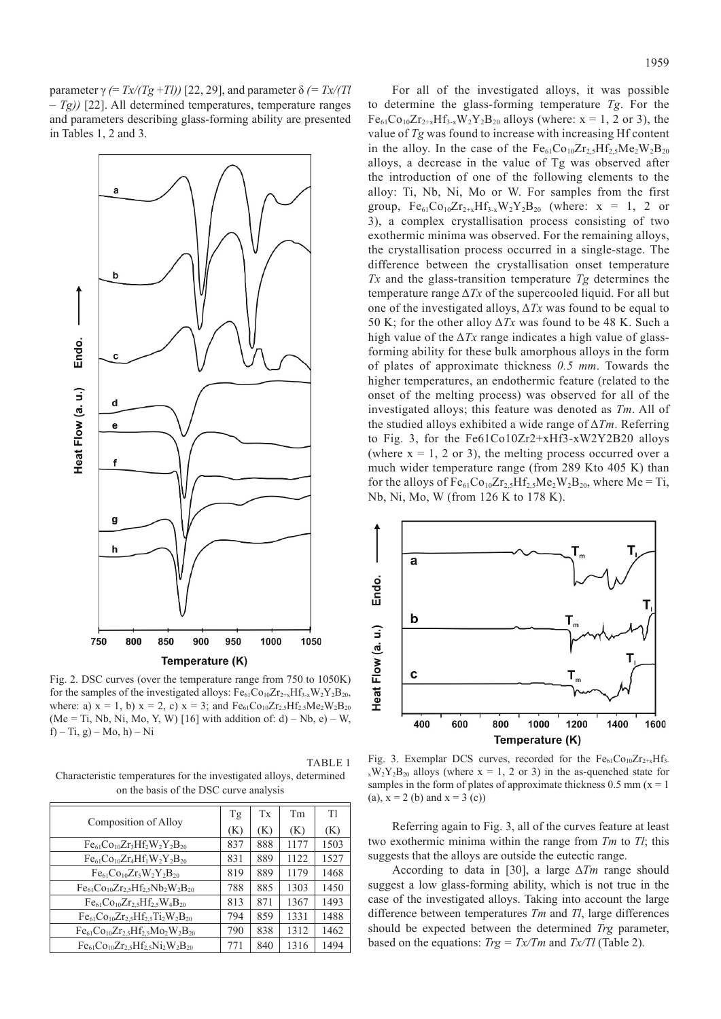parameter γ (=  $Tx/(Tg+Tl)$ ) [22, 29], and parameter δ (=  $Tx/(Tl)$ *– Tg))* [22]. All determined temperatures, temperature ranges and parameters describing glass-forming ability are presented in Tables 1, 2 and 3.



Fig. 2. DSC curves (over the temperature range from 750 to 1050K) for the samples of the investigated alloys:  $Fe_{61}Co_{10}Zr_{2+x}Hf_{3-x}W_2Y_2B_{20}$ , where: a)  $x = 1$ , b)  $x = 2$ , c)  $x = 3$ ; and  $Fe_{61}Co_{10}Zr_{2.5}Hf_{2.5}Me_{2}W_{2}B_{20}$ (Me = Ti, Nb, Ni, Mo, Y, W) [16] with addition of: d) – Nb, e) – W, f) – Ti, g) – Mo, h) – Ni

| TABLE 1                                                             |
|---------------------------------------------------------------------|
| Characteristic temperatures for the investigated alloys, determined |
| on the basis of the DSC curve analysis                              |

|                                                   |     | Tx  | Tm   | T1   |
|---------------------------------------------------|-----|-----|------|------|
| Composition of Alloy                              | (K) | (K) | (K)  | (K)  |
| $Fe_{61}Co_{10}Zr_3Hf_2W_2Y_2B_{20}$              | 837 | 888 | 1177 | 1503 |
| $Fe_{61}Co_{10}Zr_4Hf_1W_2Y_2B_{20}$              | 831 | 889 | 1122 | 1527 |
| $Fe_{61}Co_{10}Zr_5W_2Y_2B_{20}$                  | 819 | 889 | 1179 | 1468 |
| $Fe_{61}Co_{10}Zr_{2.5}Hf_{2.5}Nb_{2}W_{2}B_{20}$ | 788 | 885 | 1303 | 1450 |
| $Fe_{61}Co_{10}Zr_{2,5}Hf_{2,5}W_{4}B_{20}$       | 813 | 871 | 1367 | 1493 |
| $Fe_{61}Co_{10}Zr_{2,5}Hf_{2,5}Ti_2W_2B_{20}$     | 794 | 859 | 1331 | 1488 |
| $Fe_{61}Co_{10}Zr_{2.5}Hf_{2.5}Mo_{2}W_{2}B_{20}$ | 790 | 838 | 1312 | 1462 |
| $Fe_{61}Co_{10}Zr_2$ , $Hf_2$ , $Ni_2W_2B_{20}$   | 771 | 840 | 1316 | 1494 |

For all of the investigated alloys, it was possible to determine the glass-forming temperature *Tg*. For the  $Fe_{61}Co_{10}Zr_{2+x}Hf_{3-x}W_2Y_2B_{20}$  alloys (where: x = 1, 2 or 3), the value of *Tg* was found to increase with increasing Hf content in the alloy. In the case of the  $Fe_{61}Co_{10}Zr_{2.5}Hf_{2.5}Me_{2}W_{2}B_{20}$ alloys, a decrease in the value of Tg was observed after the introduction of one of the following elements to the alloy: Ti, Nb, Ni, Mo or W. For samples from the first group,  $Fe_{61}Co_{10}Zr_{2+x}Hf_{3-x}W_2Y_2B_{20}$  (where:  $x = 1, 2$  or 3), a complex crystallisation process consisting of two exothermic minima was observed. For the remaining alloys, the crystallisation process occurred in a single-stage. The difference between the crystallisation onset temperature *Tx* and the glass-transition temperature *Tg* determines the temperature range  $\Delta Tx$  of the supercooled liquid. For all but one of the investigated alloys, Δ*Tx* was found to be equal to 50 K; for the other alloy Δ*Tx* was found to be 48 K. Such a high value of the Δ*Tx* range indicates a high value of glassforming ability for these bulk amorphous alloys in the form of plates of approximate thickness *0.5 mm*. Towards the higher temperatures, an endothermic feature (related to the onset of the melting process) was observed for all of the investigated alloys; this feature was denoted as *Tm*. All of the studied alloys exhibited a wide range of Δ*Tm*. Referring to Fig. 3, for the Fe61Co10Zr2+xHf3-xW2Y2B20 alloys (where  $x = 1, 2$  or 3), the melting process occurred over a much wider temperature range (from 289 Kto 405 K) than for the alloys of  $Fe_{61}Co_{10}Zr_{2,5}Hf_{2,5}Me_{2}W_{2}B_{20}$ , where Me = Ti, Nb, Ni, Mo, W (from 126 K to 178 K).



Fig. 3. Exemplar DCS curves, recorded for the  $Fe_{61}Co_{10}Zr_{2+x}Hf_{3-}$  $x \times y_2$ Y<sub>2</sub>B<sub>20</sub> alloys (where x = 1, 2 or 3) in the as-quenched state for samples in the form of plates of approximate thickness  $0.5$  mm ( $x = 1$ ) (a),  $x = 2$  (b) and  $x = 3$  (c))

Referring again to Fig. 3, all of the curves feature at least two exothermic minima within the range from *Tm* to *Tl*; this suggests that the alloys are outside the eutectic range.

According to data in [30], a large Δ*Tm* range should suggest a low glass-forming ability, which is not true in the case of the investigated alloys. Taking into account the large difference between temperatures *Tm* and *Tl*, large differences should be expected between the determined *Trg* parameter, based on the equations: *Trg = Tx/Tm* and *Tx/Tl* (Table 2).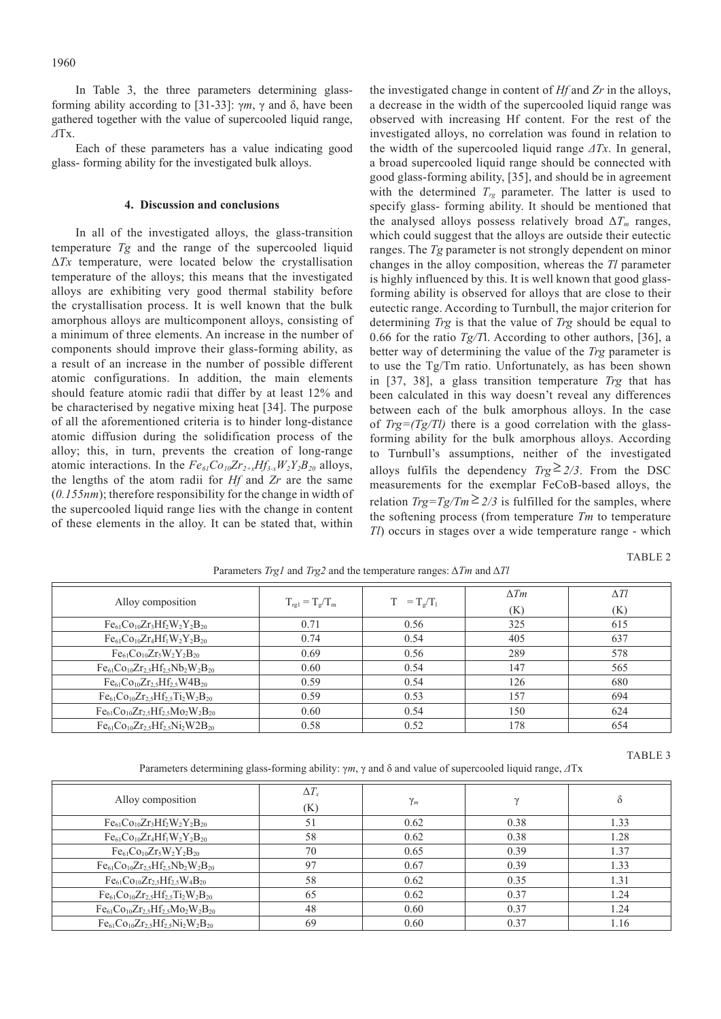In Table 3, the three parameters determining glassforming ability according to [31-33]: γ*m*, γ and δ, have been gathered together with the value of supercooled liquid range, *Δ*Tx.

Each of these parameters has a value indicating good glass- forming ability for the investigated bulk alloys.

# **4. Discussion and conclusions**

In all of the investigated alloys, the glass-transition temperature *Tg* and the range of the supercooled liquid Δ*Tx* temperature, were located below the crystallisation temperature of the alloys; this means that the investigated alloys are exhibiting very good thermal stability before the crystallisation process. It is well known that the bulk amorphous alloys are multicomponent alloys, consisting of a minimum of three elements. An increase in the number of components should improve their glass-forming ability, as a result of an increase in the number of possible different atomic configurations. In addition, the main elements should feature atomic radii that differ by at least 12% and be characterised by negative mixing heat [34]. The purpose of all the aforementioned criteria is to hinder long-distance atomic diffusion during the solidification process of the alloy; this, in turn, prevents the creation of long-range atomic interactions. In the  $Fe_{61}Co_{10}Zr_{2+x}Hf_{3-x}W_2Y_2B_{20}$  alloys, the lengths of the atom radii for *Hf* and *Zr* are the same (*0.155nm*); therefore responsibility for the change in width of the supercooled liquid range lies with the change in content of these elements in the alloy. It can be stated that, within

the investigated change in content of *Hf* and *Zr* in the alloys, a decrease in the width of the supercooled liquid range was observed with increasing Hf content. For the rest of the investigated alloys, no correlation was found in relation to the width of the supercooled liquid range *ΔTx*. In general, a broad supercooled liquid range should be connected with good glass-forming ability, [35], and should be in agreement with the determined  $T_{rg}$  parameter. The latter is used to specify glass- forming ability. It should be mentioned that the analysed alloys possess relatively broad  $\Delta T_m$  ranges, which could suggest that the alloys are outside their eutectic ranges. The *Tg* parameter is not strongly dependent on minor changes in the alloy composition, whereas the *Tl* parameter is highly influenced by this. It is well known that good glassforming ability is observed for alloys that are close to their eutectic range. According to Turnbull, the major criterion for determining *Trg* is that the value of *Trg* should be equal to 0.66 for the ratio *Tg/T*l. According to other authors, [36], a better way of determining the value of the *Trg* parameter is to use the Tg/Tm ratio. Unfortunately, as has been shown in [37, 38], a glass transition temperature *Trg* that has been calculated in this way doesn't reveal any differences between each of the bulk amorphous alloys. In the case of *Trg=(Tg/Tl)* there is a good correlation with the glassforming ability for the bulk amorphous alloys. According to Turnbull's assumptions, neither of the investigated alloys fulfils the dependency  $Trg \geq 2/3$ . From the DSC measurements for the exemplar FeCoB-based alloys, the relation  $Trg = Tg/Tm \geq 2/3$  is fulfilled for the samples, where the softening process (from temperature *Tm* to temperature *Tl*) occurs in stages over a wide temperature range - which

TABLE<sub>2</sub>

TABLE<sub>3</sub>

| $\overline{\phantom{0}}$<br>$\cdots$              |                                              |                  |             |             |  |  |  |  |
|---------------------------------------------------|----------------------------------------------|------------------|-------------|-------------|--|--|--|--|
| Alloy composition                                 | $T_{\text{rg1}} = T_{\text{g}}/T_{\text{m}}$ | $=T_e/T_1$<br>T. | $\Delta Tm$ | $\Delta Tl$ |  |  |  |  |
|                                                   |                                              |                  | (K)         | (K)         |  |  |  |  |
| $Fe61Co10Zr3Hf2W2Y2B20$                           | 0.71                                         | 0.56             | 325         | 615         |  |  |  |  |
| $Fe_{61}Co_{10}Zr_4Hf_1W_2Y_2B_{20}$              | 0.74                                         | 0.54             | 405         | 637         |  |  |  |  |
| $Fe_{61}Co_{10}Zr_5W_2Y_2B_{20}$                  | 0.69                                         | 0.56             | 289         | 578         |  |  |  |  |
| $Fe_{61}Co_{10}Zr_{2.5}Hf_{2.5}Nb_2W_2B_{20}$     | 0.60                                         | 0.54             | 147         | 565         |  |  |  |  |
| $Fe61Co10Zr2.5Hf2.5W4B20$                         | 0.59                                         | 0.54             | 126         | 680         |  |  |  |  |
| $Fe_{61}Co_{10}Zr_{2,5}Hf_{2,5}Ti_2W_2B_{20}$     | 0.59                                         | 0.53             | 157         | 694         |  |  |  |  |
| $Fe_{61}Co_{10}Zr_{2,5}Hf_{2,5}Mo_{2}W_{2}B_{20}$ | 0.60                                         | 0.54             | 150         | 624         |  |  |  |  |
| $Fe_{61}Co_{10}Zr_2$ , $Hf_2$ , $Ni_2W2B_{20}$    | 0.58                                         | 0.52             | 178         | 654         |  |  |  |  |

Parameters *Trg1* and *Trg2* and the temperature ranges: Δ*Tm* and Δ*Tl*

Parameters determining glass-forming ability: γ*m*, γ and δ and value of supercooled liquid range, *Δ*Tx

| Alloy composition                                 | $\Delta T_{r}$<br>(K) | $\gamma_m$ | $\gamma$ |      |
|---------------------------------------------------|-----------------------|------------|----------|------|
| $Fe_{61}Co_{10}Zr_3Hf_2W_2Y_2B_{20}$              | 51                    | 0.62       | 0.38     | 1.33 |
| $Fe61Co10Zr4Hf1W2Y2B20$                           | 58                    | 0.62       | 0.38     | 1.28 |
| $Fe_{61}Co_{10}Zr_5W_2Y_2B_{20}$                  | 70                    | 0.65       | 0.39     | 1.37 |
| $Fe_{61}Co_{10}Zr_{2,5}Hf_{2,5}Nb_2W_2B_{20}$     | 97                    | 0.67       | 0.39     | 1.33 |
| $Fe_{61}Co_{10}Zr_{2,5}Hf_{2,5}W_{4}B_{20}$       | 58                    | 0.62       | 0.35     | 1.31 |
| $Fe_{61}Co_{10}Zr_{2,5}Hf_{2,5}Ti_2W_2B_{20}$     | 65                    | 0.62       | 0.37     | 1.24 |
| $Fe_{61}Co_{10}Zr_{2,5}Hf_{2,5}Mo_{2}W_{2}B_{20}$ | 48                    | 0.60       | 0.37     | 1.24 |
| $Fe_{61}Co_{10}Zr_{2.5}Hf_{2.5}Ni_2W_2B_{20}$     | 69                    | 0.60       | 0.37     | 1.16 |